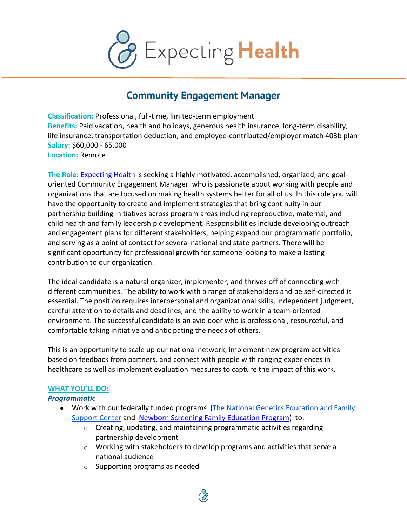

# **Community Engagement Manager**

**Classification:** Professional, full-time, limited-term employment **Benefits:** Paid vacation, health and holidays, generous health insurance, long-term disability, life insurance, transportation deduction, and employee-contributed/employer match 403b plan **Salary:** \$60,000 - 65,000 **Location:** Remote

**The Role:** Expecting Health is seeking a highly motivated, accomplished, organized, and goaloriented Community Engagement Manager who is passionate about working with people and organizations that are focused on making health systems better for all of us. In this role you will have the opportunity to create and implement strategies that bring continuity in our partnership building initiatives across program areas including reproductive, maternal, and child health and family leadership development. Responsibilities include developing outreach and engagement plans for different stakeholders, helping expand our programmatic portfolio, and serving as a point of contact for several national and state partners. There will be significant opportunity for professional growth for someone looking to make a lasting contribution to our organization.

The ideal candidate is a natural organizer, implementer, and thrives off of connecting with different communities. The ability to work with a range of stakeholders and be self-directed is essential. The position requires interpersonal and organizational skills, independent judgment, careful attention to details and deadlines, and the ability to work in a team-oriented environment. The successful candidate is an avid doer who is professional, resourceful, and comfortable taking initiative and anticipating the needs of others.

This is an opportunity to scale up our national network, implement new program activities based on feedback from partners, and connect with people with ranging experiences in healthcare as well as implement evaluation measures to capture the impact of this work.

### **WHAT YOU'LL DO:**

#### *Programmatic*

- Work with our federally funded programs (The National Genetics Education and Family Support Center and Newborn Screening Family Education Program) to:
	- $\circ$  Creating, updating, and maintaining programmatic activities regarding partnership development
	- $\circ$  Working with stakeholders to develop programs and activities that serve a national audience
	- o Supporting programs as needed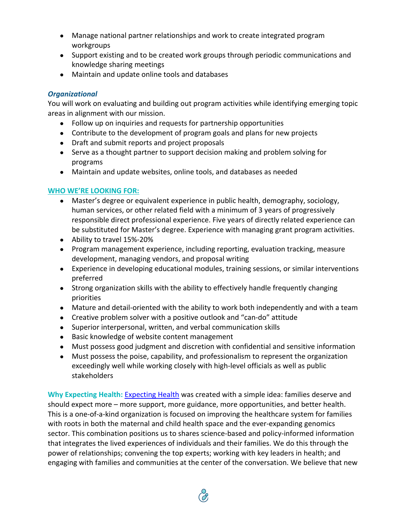- Manage national partner relationships and work to create integrated program workgroups
- Support existing and to be created work groups through periodic communications and knowledge sharing meetings
- Maintain and update online tools and databases

## *Organizational*

You will work on evaluating and building out program activities while identifying emerging topic areas in alignment with our mission.

- Follow up on inquiries and requests for partnership opportunities
- Contribute to the development of program goals and plans for new projects
- Draft and submit reports and project proposals
- Serve as a thought partner to support decision making and problem solving for programs
- Maintain and update websites, online tools, and databases as needed

## **WHO WE'RE LOOKING FOR:**

- Master's degree or equivalent experience in public health, demography, sociology, human services, or other related field with a minimum of 3 years of progressively responsible direct professional experience. Five years of directly related experience can be substituted for Master's degree. Experience with managing grant program activities.
- Ability to travel 15%-20%
- Program management experience, including reporting, evaluation tracking, measure development, managing vendors, and proposal writing
- Experience in developing educational modules, training sessions, or similar interventions preferred
- Strong organization skills with the ability to effectively handle frequently changing priorities
- Mature and detail-oriented with the ability to work both independently and with a team
- Creative problem solver with a positive outlook and "can-do" attitude
- Superior interpersonal, written, and verbal communication skills
- Basic knowledge of website content management
- Must possess good judgment and discretion with confidential and sensitive information
- Must possess the poise, capability, and professionalism to represent the organization exceedingly well while working closely with high-level officials as well as public stakeholders

**Why Expecting Health:** Expecting Health was created with a simple idea: families deserve and should expect more – more support, more guidance, more opportunities, and better health. This is a one-of-a-kind organization is focused on improving the healthcare system for families with roots in both the maternal and child health space and the ever-expanding genomics sector. This combination positions us to shares science-based and policy-informed information that integrates the lived experiences of individuals and their families. We do this through the power of relationships; convening the top experts; working with key leaders in health; and engaging with families and communities at the center of the conversation. We believe that new